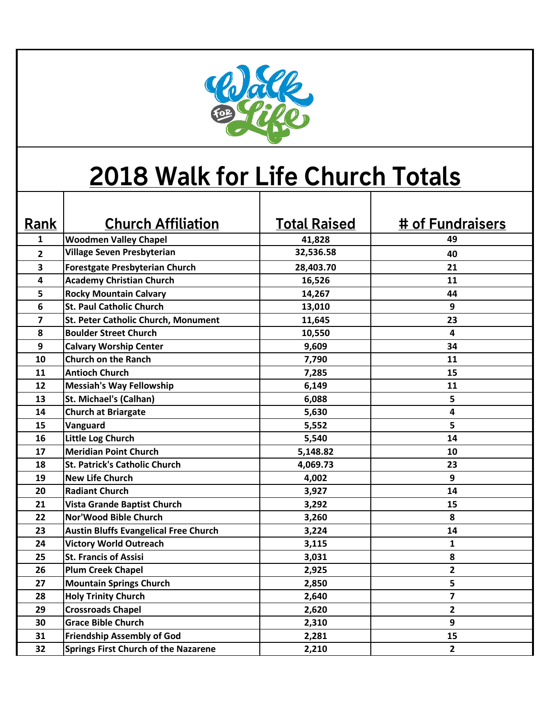

## **2018 Walk for Life Church Totals**

| <b>Rank</b>    | <b>Church Affiliation</b>                    | <b>Total Raised</b> | # of Fundraisers        |
|----------------|----------------------------------------------|---------------------|-------------------------|
| 1              | <b>Woodmen Valley Chapel</b>                 | 41,828              | 49                      |
| $\overline{2}$ | Village Seven Presbyterian                   | 32,536.58           | 40                      |
| 3              | <b>Forestgate Presbyterian Church</b>        | 28,403.70           | 21                      |
| 4              | <b>Academy Christian Church</b>              | 16,526              | 11                      |
| 5              | <b>Rocky Mountain Calvary</b>                | 14,267              | 44                      |
| 6              | <b>St. Paul Catholic Church</b>              | 13,010              | 9                       |
| $\overline{7}$ | St. Peter Catholic Church, Monument          | 11,645              | 23                      |
| 8              | <b>Boulder Street Church</b>                 | 10,550              | $\overline{\mathbf{4}}$ |
| 9              | <b>Calvary Worship Center</b>                | 9,609               | 34                      |
| 10             | <b>Church on the Ranch</b>                   | 7,790               | 11                      |
| 11             | <b>Antioch Church</b>                        | 7,285               | 15                      |
| 12             | <b>Messiah's Way Fellowship</b>              | 6,149               | 11                      |
| 13             | <b>St. Michael's (Calhan)</b>                | 6,088               | 5                       |
| 14             | <b>Church at Briargate</b>                   | 5,630               | 4                       |
| 15             | Vanguard                                     | 5,552               | 5                       |
| 16             | Little Log Church                            | 5,540               | 14                      |
| 17             | <b>Meridian Point Church</b>                 | 5,148.82            | 10                      |
| 18             | <b>St. Patrick's Catholic Church</b>         | 4,069.73            | 23                      |
| 19             | <b>New Life Church</b>                       | 4,002               | 9                       |
| 20             | <b>Radiant Church</b>                        | 3,927               | 14                      |
| 21             | <b>Vista Grande Baptist Church</b>           | 3,292               | 15                      |
| 22             | Nor'Wood Bible Church                        | 3,260               | 8                       |
| 23             | <b>Austin Bluffs Evangelical Free Church</b> | 3,224               | 14                      |
| 24             | <b>Victory World Outreach</b>                | 3,115               | $\mathbf{1}$            |
| 25             | <b>St. Francis of Assisi</b>                 | 3,031               | 8                       |
| 26             | <b>Plum Creek Chapel</b>                     | 2,925               | $\mathbf{2}$            |
| 27             | <b>Mountain Springs Church</b>               | 2,850               | 5                       |
| 28             | <b>Holy Trinity Church</b>                   | 2,640               | $\overline{\mathbf{z}}$ |
| 29             | <b>Crossroads Chapel</b>                     | 2,620               | $\mathbf{2}$            |
| 30             | <b>Grace Bible Church</b>                    | 2,310               | 9                       |
| 31             | <b>Friendship Assembly of God</b>            | 2,281               | 15                      |
| 32             | <b>Springs First Church of the Nazarene</b>  | 2,210               | $\mathbf{2}$            |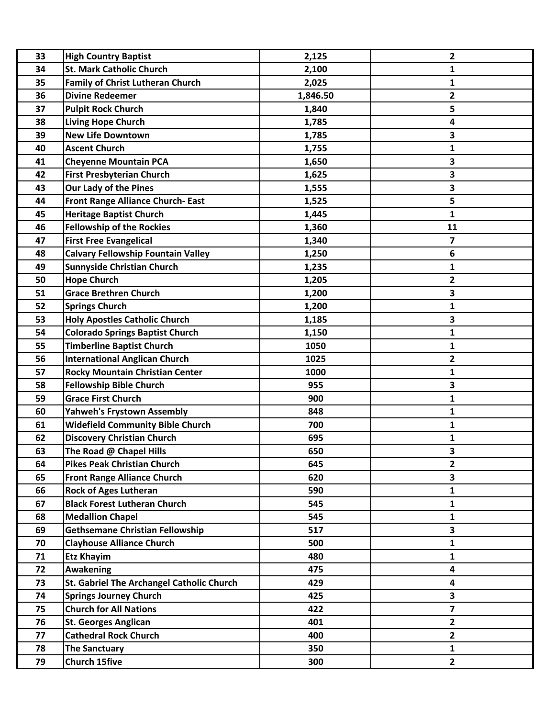| 33 | <b>High Country Baptist</b>               | 2,125    | 2                       |
|----|-------------------------------------------|----------|-------------------------|
| 34 | <b>St. Mark Catholic Church</b>           | 2,100    | 1                       |
| 35 | <b>Family of Christ Lutheran Church</b>   | 2,025    | 1                       |
| 36 | <b>Divine Redeemer</b>                    | 1,846.50 | $\mathbf{2}$            |
| 37 | <b>Pulpit Rock Church</b>                 | 1,840    | 5                       |
| 38 | <b>Living Hope Church</b>                 | 1,785    | 4                       |
| 39 | <b>New Life Downtown</b>                  | 1,785    | 3                       |
| 40 | <b>Ascent Church</b>                      | 1,755    | 1                       |
| 41 | <b>Cheyenne Mountain PCA</b>              | 1,650    | 3                       |
| 42 | <b>First Presbyterian Church</b>          | 1,625    | 3                       |
| 43 | Our Lady of the Pines                     | 1,555    | 3                       |
| 44 | Front Range Alliance Church- East         | 1,525    | 5                       |
| 45 | <b>Heritage Baptist Church</b>            | 1,445    | 1                       |
| 46 | <b>Fellowship of the Rockies</b>          | 1,360    | 11                      |
| 47 | <b>First Free Evangelical</b>             | 1,340    | 7                       |
| 48 | <b>Calvary Fellowship Fountain Valley</b> | 1,250    | 6                       |
| 49 | <b>Sunnyside Christian Church</b>         | 1,235    | 1                       |
| 50 | <b>Hope Church</b>                        | 1,205    | $\mathbf{2}$            |
| 51 | <b>Grace Brethren Church</b>              | 1,200    | 3                       |
| 52 | <b>Springs Church</b>                     | 1,200    | 1                       |
| 53 | <b>Holy Apostles Catholic Church</b>      | 1,185    | 3                       |
| 54 | <b>Colorado Springs Baptist Church</b>    | 1,150    | 1                       |
| 55 | <b>Timberline Baptist Church</b>          | 1050     | 1                       |
| 56 | <b>International Anglican Church</b>      | 1025     | $\mathbf{2}$            |
| 57 | <b>Rocky Mountain Christian Center</b>    | 1000     | 1                       |
| 58 | <b>Fellowship Bible Church</b>            | 955      | 3                       |
| 59 | <b>Grace First Church</b>                 | 900      | 1                       |
| 60 | Yahweh's Frystown Assembly                | 848      | 1                       |
| 61 | <b>Widefield Community Bible Church</b>   | 700      | 1                       |
| 62 | <b>Discovery Christian Church</b>         | 695      | 1                       |
| 63 | The Road @ Chapel Hills                   | 650      | 3                       |
| 64 | Pikes Peak Christian Church               | 645      | $\mathbf{2}$            |
| 65 | <b>Front Range Alliance Church</b>        | 620      | 3                       |
| 66 | <b>Rock of Ages Lutheran</b>              | 590      | $\mathbf{1}$            |
| 67 | <b>Black Forest Lutheran Church</b>       | 545      | $\mathbf{1}$            |
| 68 | <b>Medallion Chapel</b>                   | 545      | $\mathbf{1}$            |
| 69 | <b>Gethsemane Christian Fellowship</b>    | 517      | 3                       |
| 70 | <b>Clayhouse Alliance Church</b>          | 500      | 1                       |
| 71 | <b>Etz Khayim</b>                         | 480      | $\mathbf{1}$            |
| 72 | <b>Awakening</b>                          | 475      | 4                       |
| 73 | St. Gabriel The Archangel Catholic Church | 429      | 4                       |
| 74 | <b>Springs Journey Church</b>             | 425      | $\overline{\mathbf{3}}$ |
| 75 | <b>Church for All Nations</b>             | 422      | $\overline{\mathbf{z}}$ |
| 76 | <b>St. Georges Anglican</b>               | 401      | $\mathbf{2}$            |
| 77 | <b>Cathedral Rock Church</b>              | 400      | $\overline{2}$          |
| 78 | <b>The Sanctuary</b>                      | 350      | $\mathbf{1}$            |
| 79 | <b>Church 15five</b>                      | 300      | $\mathbf{2}$            |